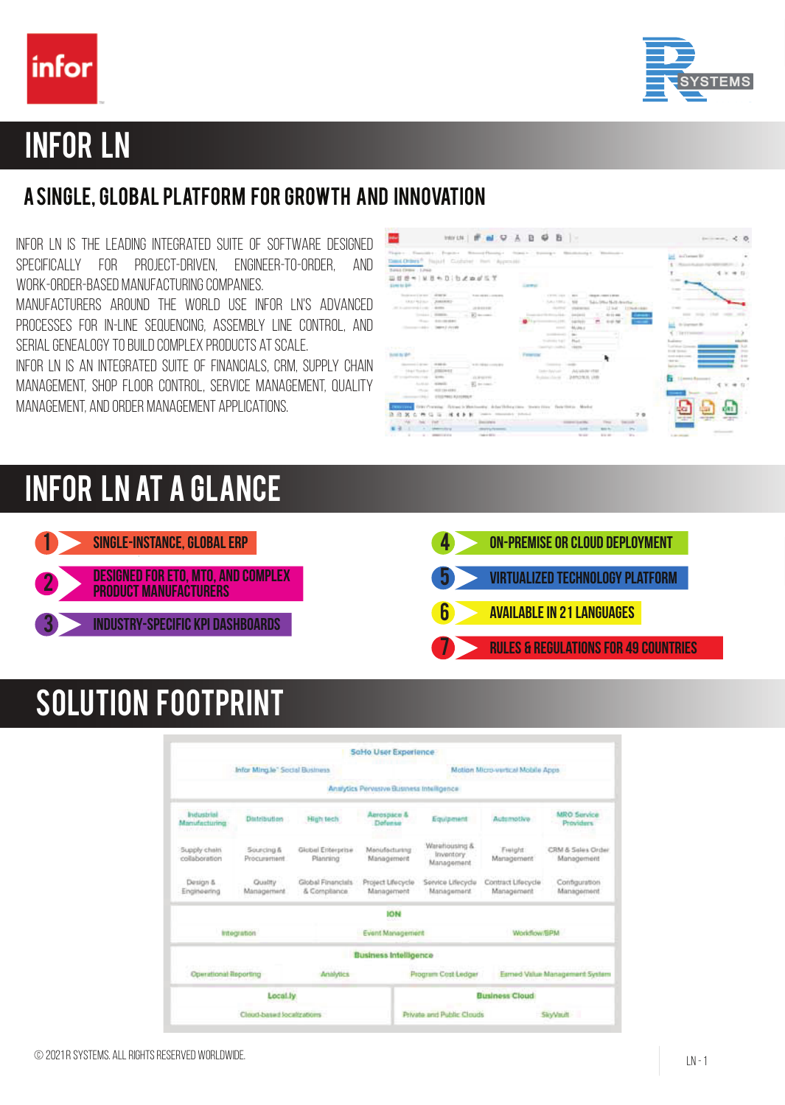



## Infor LN

## A single, global platform for growth and innovation

Infor LN is the leading integrated suite of software designed specifically for project-driven, engineer-to-order, and work-order-based manufacturing companies.

Manufacturers around the world use Infor LN's advanced processes for in-line sequencing, assembly line control, and serial genealogy to build complex products at scale.

Infor LN is an integrated suite of Financials, CRM, Supply Chain MANAGEMENT, SHOP FLOOR CONTROL, SERVICE MANAGEMENT, QUALITY Management, and Order Management applications.

|                                                                                                                 |                                                        | Dand Orders R. Fisjoel Coultsteel Park Library and                       | Thanks Transites Propose Record Personal States Company Resolutions                                                                                                                                                                                                                                                                                                                                                                                                                                                                                                                                                                                                                                   |                                                                    |                                                                                            |                                                                                                                | in Charters \$11                                                |
|-----------------------------------------------------------------------------------------------------------------|--------------------------------------------------------|--------------------------------------------------------------------------|-------------------------------------------------------------------------------------------------------------------------------------------------------------------------------------------------------------------------------------------------------------------------------------------------------------------------------------------------------------------------------------------------------------------------------------------------------------------------------------------------------------------------------------------------------------------------------------------------------------------------------------------------------------------------------------------------------|--------------------------------------------------------------------|--------------------------------------------------------------------------------------------|----------------------------------------------------------------------------------------------------------------|-----------------------------------------------------------------|
| Turns (1984) 1, 256<br>Udde +   Mit + D   b & p # 5 T<br>STANDARD BAR COLLECTION CONTINUES.                     |                                                        |                                                                          | Large Co.                                                                                                                                                                                                                                                                                                                                                                                                                                                                                                                                                                                                                                                                                             |                                                                    |                                                                                            |                                                                                                                |                                                                 |
| September 2 or new 1 of \$80.00<br>- 「大変など考えるもの」<br>2012 Australian State Links<br>Concern Adv - Dates   Petrol | 大地球和文<br>Company Committee<br>Those American           | THE RESIDENCE.<br><b>All of the state at</b><br>2010/07/18<br>ED to come | 1. Auto Hills<br>$\frac{1}{2} \left( \frac{1}{2} \right) \left( \frac{1}{2} \right) \left( \frac{1}{2} \right) \left( \frac{1}{2} \right)$<br>Complete Art Co. Brown 14 de-<br>$\frac{1}{2} \left( \frac{1}{2} \right) \left( \frac{1}{2} \right) \left( \frac{1}{2} \right) \left( \frac{1}{2} \right) \left( \frac{1}{2} \right) \left( \frac{1}{2} \right) \left( \frac{1}{2} \right) \left( \frac{1}{2} \right) \left( \frac{1}{2} \right) \left( \frac{1}{2} \right) \left( \frac{1}{2} \right) \left( \frac{1}{2} \right) \left( \frac{1}{2} \right) \left( \frac{1}{2} \right) \left( \frac{1}{2} \right) \left( \frac{1}{2} \right) \left( \frac$<br>m.<br>the season of the<br>Tourism Add T | <b>COLEMAN AND</b><br>-<br>$-0.04$<br><b>Phone</b>                 | Today, DNew Mark American are a con-<br>12.946<br><b>TTP</b> PACK FIREST<br>$4 - 11 - 444$ | $\frac{1}{2}$<br>T Rentre<br><b><i><u>Supplement</u></i></b>                                                   | <b>Service College</b><br>to launched de<br><b><i>HAIHA</i></b> |
| and the state of the con-<br>Second Lights 1, 1980 B                                                            |                                                        | to the real day commonly and                                             | <b>CONTRACTOR</b><br>Contractor Constitution                                                                                                                                                                                                                                                                                                                                                                                                                                                                                                                                                                                                                                                          |                                                                    |                                                                                            | <b>CARD AND COMPANY</b><br><b>STATE SEASON</b><br><b>STEELING</b><br><b>STATISTICS</b><br><b>Service Hotel</b> | <b>Suit</b><br><b>Press</b><br>$+11$<br>To and<br>$+ -$         |
| - 100 Florida<br>All to send the Children<br>ALARA AL - MONARC<br><b>COLLEGE AND</b>                            | All Colors<br>$-0.124\cdot 10.044\cdot 10.044\cdot 1.$ | <b>GREETE</b><br><b>WI</b> Archaeo                                       | Cardler Publication                                                                                                                                                                                                                                                                                                                                                                                                                                                                                                                                                                                                                                                                                   | ALLINE - 24912925 1999<br>comes a littera and a factor of the sold |                                                                                            | 1.0 month floor                                                                                                |                                                                 |
|                                                                                                                 | <b>CONTRACT</b>                                        |                                                                          | THEY Processing. Thirty-and in Manchester, Anders Holiday classe. Steven from: Their History. Models<br>trains resonance possed to the control to the fa-                                                                                                                                                                                                                                                                                                                                                                                                                                                                                                                                             | <b>CONTRACTOR</b>                                                  | <b>SALE</b><br><b>Times</b>                                                                |                                                                                                                | <b>P2P P2P</b>                                                  |
|                                                                                                                 | <b>Horse</b>                                           | <b>Zecono</b><br>distant is Personal.                                    |                                                                                                                                                                                                                                                                                                                                                                                                                                                                                                                                                                                                                                                                                                       | <b>SAMP</b>                                                        | <b>MAD 150</b>                                                                             |                                                                                                                |                                                                 |

## Infor Ln at a glance



# Solution footprint

|                                                            |                                |                                   | SoHo User Experience                      |                                               |                                  |                                 |  |  |  |
|------------------------------------------------------------|--------------------------------|-----------------------------------|-------------------------------------------|-----------------------------------------------|----------------------------------|---------------------------------|--|--|--|
|                                                            | Infor Ming le" Social Business |                                   |                                           | Motion Micro-vertical Mobile Apps             |                                  |                                 |  |  |  |
|                                                            |                                |                                   | Analytics Pervesive Business Intelligence |                                               |                                  |                                 |  |  |  |
| <b>Industrial</b><br>Manufacturing<br>uni si Albia         | Distribution                   | High tech                         | Aerospace &<br>Defense                    | Equipment                                     | Autumotive                       | MRO Service<br><b>Previders</b> |  |  |  |
| Supply chain<br>Sourcing &<br>collaboration<br>Procurement |                                | Global Enterprise<br>Planning     | Monufacturing<br>Management               | Warehousing &<br>Inventory<br>Management      | Fielght<br>Martagement           | CRM & Sales Order<br>Management |  |  |  |
| Design &<br>Quality<br>Engineering<br>Management           |                                | Global Financials<br>& Compliance | Project Lifecycle<br>Management           | Service Lifecycle<br>Management               | Contract Lifecycle<br>Management | Configuration<br>Management     |  |  |  |
|                                                            |                                |                                   | <b>HOR</b>                                |                                               |                                  |                                 |  |  |  |
| Integration                                                |                                |                                   | <b>Event Management</b>                   |                                               | Workflow/EPM                     |                                 |  |  |  |
|                                                            |                                |                                   | <b>Business Intelligence</b>              |                                               |                                  |                                 |  |  |  |
| Operational Reporting<br>Amilytics                         |                                |                                   |                                           | Program Cost Ledger                           | Esmed Value Management System    |                                 |  |  |  |
|                                                            | Local.ly                       |                                   |                                           |                                               | <b>Business Cloud</b>            |                                 |  |  |  |
|                                                            | Cloud-based localizations      |                                   |                                           | Private and Public Clouds<br><b>SliyVault</b> |                                  |                                 |  |  |  |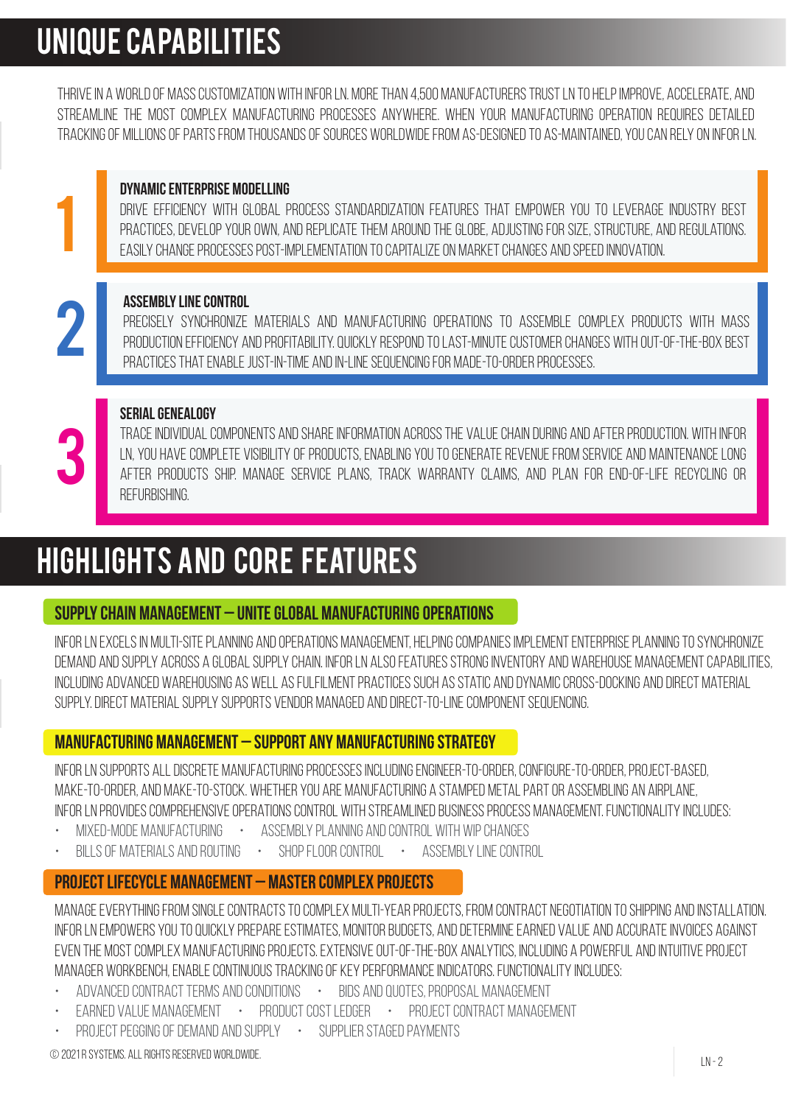# Unique capabilities

THRIVE IN A WORLD OF MASS CUSTOMIZATION WITH INFOR LN. MORE THAN 4,500 MANUFACTURERS TRUST LN TO HELP IMPROVE, ACCELERATE, AND streamline the most complex manufacturing processes anywhere. When your manufacturing operation requires detailed tracking of millions of parts from thousands of sources worldwide from as-designed to as-maintained, you can rely on Infor LN.

## Dynamic Enterprise Modelling

Drive efficiency with global process standardization features that empower you to leverage industry best PRACTICES, DEVELOP YOUR OWN, AND REPLICATE THEM AROUND THE GLOBE, ADJUSTING FOR SIZE, STRUCTURE, AND REGULATIONS. Easily change processes post-implementation to capitalize on market changes and speed innovation.

### Assembly Line Control

1

2

3

Precisely synchronize materials and manufacturing operations to assemble complex products with mass PRODUCTION EFFICIENCY AND PROFITABILITY. QUICKLY RESPOND TO LAST-MINUTE CUSTOMER CHANGES WITH OUT-OF-THE-BOX BEST practices that enable just-in-time and in-line sequencing for made-to-order processes.

## Serial Genealogy

Traceindividualcomponents andshareinformation acrossthe valuechainduring and afterproduction. WithInfor LN, YOU HAVE COMPLETE VISIBILITY OF PRODUCTS, ENABLING YOU TO GENERATE REVENUE FROM SERVICE AND MAINTENANCE LONG after products ship. Manage service plans, track warranty claims, and plan for end-of-life recycling or refurbishing.

# Highlights and core features

## Supply Chain Management – Unite global manufacturing operations

Infor LN excels in multi-site planning and operations management, helping companies implement Enterprise Planning to synchronize demand and supply across a global supply chain. Infor LN also features strong inventory and warehouse management capabilities, including advanced warehousing as well as fulfilment practices such as Static and Dynamic Cross-Docking and Direct Material Supply. Direct Material Supply supports vendor managed and direct-to-line component sequencing.

## Manufacturing Management – Support any manufacturing strategy

Infor LN supports all discrete manufacturing processes including engineer-to-order, configure-to-order, project-based, make-to-order, and make-to-stock. Whether you are manufacturing a stamped metal part or assembling an airplane, Infor LN provides comprehensive operations control with streamlined business process management. Functionality includes:

- Mixed-mode manufacturing Assembly Planning and Control with WIP changes
- BILLS OF MATERIALS AND ROUTING SHOP FLOOR CONTROL ASSEMBLY LINE CONTROL

## Project Lifecycle Management – Master complex projects

Manage everything from single contracts to complex multi-year projects, from contract negotiation to shipping and installation. Infor LN empowers you to quickly prepare estimates, monitor budgets, and determine earned value and accurate invoices against even the most complex manufacturing projects. Extensive out-of-the-box analytics, including a powerful and intuitive project manager workbench, enable continuous tracking of key performance indicators. Functionality includes:

- Advanced contract terms and conditions Bids and Quotes, Proposal Management
- EARNED VALUE MANAGEMENT PRODUCT COST LEDGER PROJECT CONTRACT MANAGEMENT
- Project pegging of demand and supply Supplier staged payments

© 2021 R Systems. All Rights Reserved Worldwide.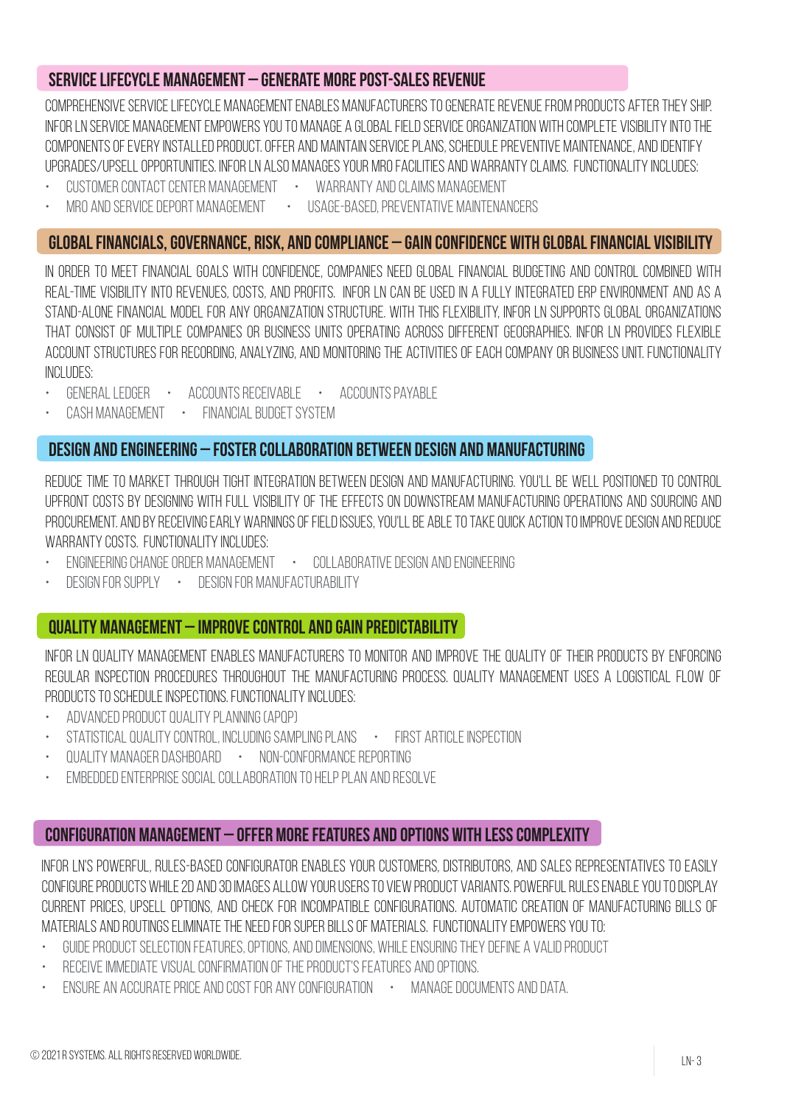### Service Lifecycle Management – Generate more post-sales revenue

Comprehensive Service Lifecycle Management enables manufacturers to generate revenue from products after they ship. Infor LN Service Management empowers you to manage a global field service organization with complete visibility into the components of every installed product. Offer and maintain service plans, schedule preventive maintenance, and identify upgrades/upsell opportunities. Infor LN also manages your MRO facilities and warranty claims. Functionality includes:

- CUSTOMER CONTACT CENTER MANAGEMENT WARRANTY AND CLAIMS MANAGEMENT
	-
- MRO and Service Deport Management Usage-based, preventative maintenancers
- 

### Global Financials, Governance, Risk, and Compliance – Gain confidence with global financial visibility

In order to meet financial goals with confidence, companies need global financial budgeting and control combined with real-time visibility into revenues, costs, and profits. Infor LN can be used in a fully integrated ERP environment and as a stand-alone financial model for any organization structure. With this flexibility, Infor LN supports global organizations that consist of multiple companies or business units operating across different geographies. Infor LN provides flexible ACCOUNT STRUCTURES FOR RECORDING, ANALYZING, AND MONITORING THE ACTIVITIES OF EACH COMPANY OR BUSINESS UNIT. FUNCTIONALITY includes:

- GENERAL LEDGER ACCOUNTS RECEIVABLE ACCOUNTS PAYABLE
- Cash Management Financial Budget System

### Design and Engineering – Foster collaboration between design and manufacturing

Reduce time to market through tight integration between design and manufacturing. You'll be well positioned to control upfront costs by designing with full visibility of the effects on downstream manufacturing operations and sourcing and procurement. Andby receivingearly warningsoffieldissues, you'llbe abletotakequick actiontoimprovedesign andreduce WARRANTY COSTS. FUNCTIONALITY INCLUDES:

- Engineering Change Order Management Collaborative design and engineering
- Design for Supply Design for Manufacturability

### Quality Management – Improve control and gain predictability

Infor LN Quality Management enables manufacturers to monitor and improve the quality of their products by enforcing regular inspection procedures throughout the manufacturing process. Quality Management uses a logistical flow of products to schedule inspections. Functionality includes:

- Advanced Product Quality Planning (APQP)
- Statistical Quality Control, including sampling plans First Article Inspection
- Quality Manager Dashboard Non-Conformance Reporting
- Embedded enterprise social collaboration to help plan and resolve

### Configuration Management – Offer more features and options with less complexity

Infor LN's powerful, rules-based configurator enables your customers, distributors, and sales representatives to easily configureproductswhile2D and3Dimages allowyourusersto viewproduct variants.Powerfulrulesenable youtodisplay current prices, upsell options, and check for incompatible configurations. Automatic creation of manufacturing bills of materials and routings eliminate the need for super bills of materials. Functionality empowers you to:

- Guide product selection features, options, and dimensions, while ensuring they define a valid product
- Receive immediate visual confirmation of the product's features and options.
- Ensure an accurate price and cost for any configuration Manage documents and data.